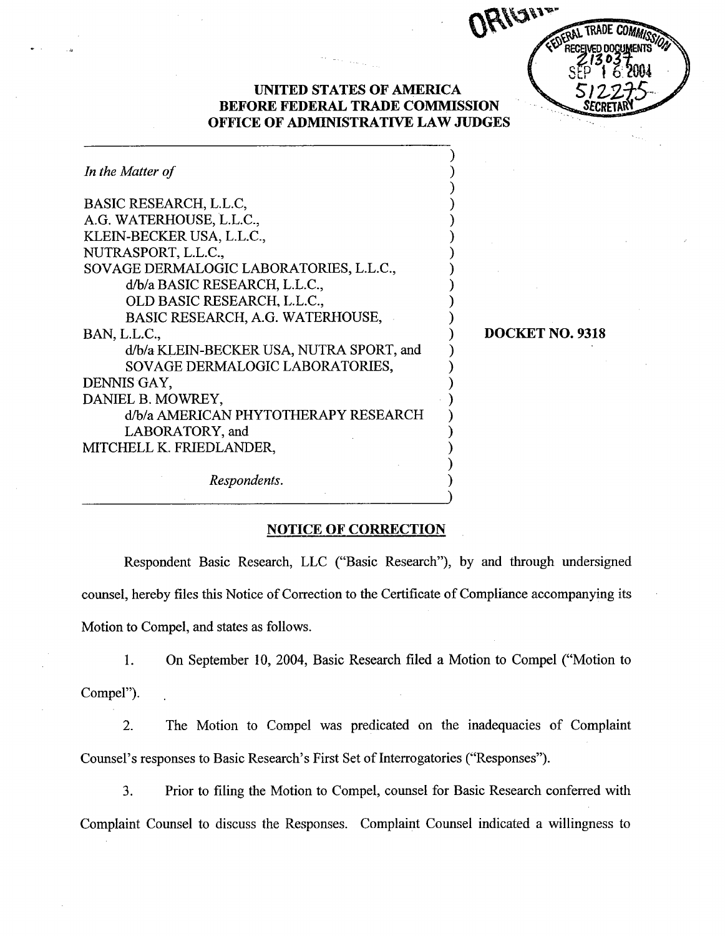| FDERAL TRADE COMMISSION                     |  |
|---------------------------------------------|--|
| RECEIVED DOCUMENTS<br>213037<br>SEP 16.2004 |  |
|                                             |  |
| 51227                                       |  |
|                                             |  |

## **UNITED STATES OF AMERICA BEFORE FEDERAL TRADE COMMISSION** OFFICE OF ADMINISTRATIVE LAW JUDGES

| In the Matter of                         |  |
|------------------------------------------|--|
| BASIC RESEARCH, L.L.C,                   |  |
| A.G. WATERHOUSE, L.L.C.,                 |  |
| KLEIN-BECKER USA, L.L.C.,                |  |
| NUTRASPORT, L.L.C.,                      |  |
| SOVAGE DERMALOGIC LABORATORIES, L.L.C.,  |  |
| d/b/a BASIC RESEARCH, L.L.C.,            |  |
| OLD BASIC RESEARCH, L.L.C.,              |  |
| BASIC RESEARCH, A.G. WATERHOUSE,         |  |
| BAN, L.L.C.,                             |  |
| d/b/a KLEIN-BECKER USA, NUTRA SPORT, and |  |
| SOVAGE DERMALOGIC LABORATORIES,          |  |
| DENNIS GAY,                              |  |
| DANIEL B. MOWREY,                        |  |
| d/b/a AMERICAN PHYTOTHERAPY RESEARCH     |  |
| LABORATORY, and                          |  |
| MITCHELL K. FRIEDLANDER,                 |  |
| Respondents.                             |  |

## DOCKET NO. 9318

#### NOTICE OF CORRECTION

Respondent Basic Research, LLC ("Basic Research"), by and through undersigned counsel, hereby files this Notice of Correction to the Certificate of Compliance accompanying its Motion to Compel, and states as follows.

 $1.$ On September 10, 2004, Basic Research fied a Motion to Compel ("Motion to Compel").

 $2.$ The Motion to Compel was predicated on the inadequacies of Complaint Counsel's responses to Basic Research's First Set of Interrogatories ("Responses").

 $3.$ Prior to filing the Motion to Compel, counsel for Basic Research conferred with Complaint Counsel to discuss the Responses. Complaint Counsel indicated a willingness to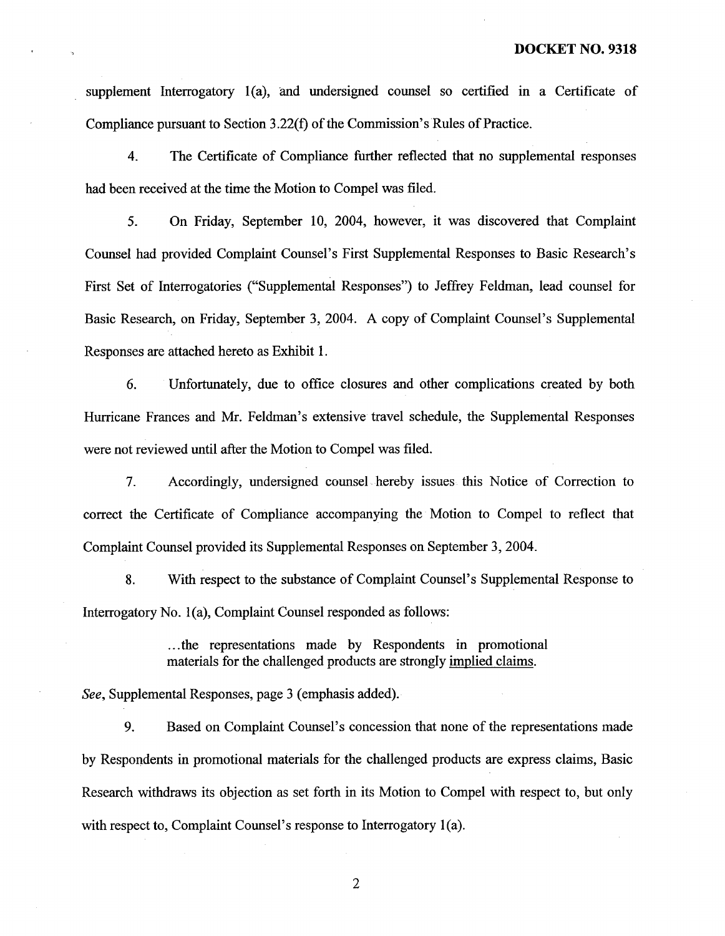supplement Interrogatory  $1(a)$ , and undersigned counsel so certified in a Certificate of Compliance pursuant to Section  $3.22(f)$  of the Commission's Rules of Practice.

 $4.$ The Certificate of Compliance further reflected that no supplemental responses had been received at the time the Motion to Compel was filed.

On Friday, September 10, 2004, however, it was discovered that Complaint  $5<sub>1</sub>$ Counsel had provided Complaint Counsel's First Supplemental Responses to Basic Research's First Set of Interrogatories ("Supplemental Responses") to Jeffrey Feldman, lead counsel for Basic Research, on Friday, September 3, 2004. A copy of Complaint Counsel's Supplemental Responses are attached hereto as Exhibit 1.

6. Unfortately, due to office closures and other complications created by both Hurricane Frances and Mr. Feldman's extensive travel schedule, the Supplemental Responses were not reviewed until after the Motion to Compel was filed.

 $7.$ Accordingly, undersigned counsel hereby issues this Notice of Correction to correct the Certificate of Compliance accompanying the Motion to Compel to reflect that Complaint Counsel provided its Supplemental Responses on September 3 2004.

8. With respect to the substance of Complaint Counsel's Supplemental Response to Interrogatory No.  $1(a)$ , Complaint Counsel responded as follows:

> ...the representations made by Respondents in promotional materials for the challenged products are strongly implied claims

See, Supplemental Responses, page 3 (emphasis added).

9. Based on Complaint Counsel's concession that none of the representations made by Respondents in promotional materials for the challenged products are express claims, Basic Research withdraws its objection as set forth in its Motion to Compel with respect to, but only with respect to, Complaint Counsel's response to Interrogatory  $1(a)$ .

 $\overline{2}$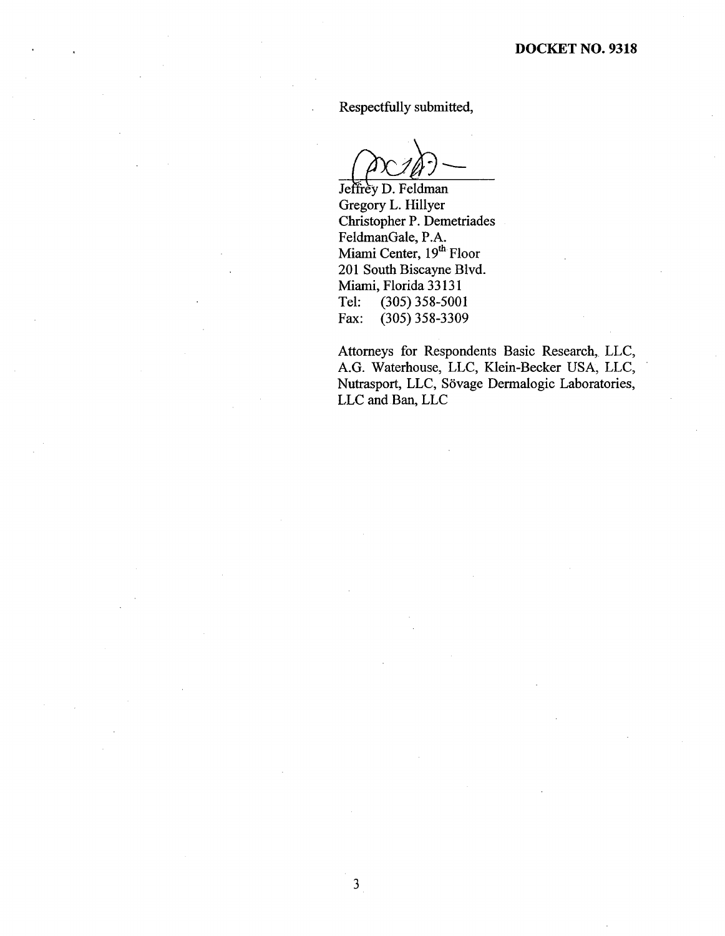Respectfully submitted

Jeffrey D. Feldman<br>Gregory L. Hillyer

Christopher P. Demetriades FeldmanGale, P. Miami Center, 19<sup>th</sup> Floor 201 South Biscayne Blvd. Miami, Florida 33131 Tel: (305) 358-5001<br>Fax: (305) 358-3309  $(305)$  358-3309

 $\mathfrak{Z}$ 

Attorneys for Respondents Basic Research, LLC AG. Waterhouse, LLC, Klein-Becker USA, LLC Nutrasport, LLC, Sövage Dermalogic Laboratories, LLC and Ban, LLC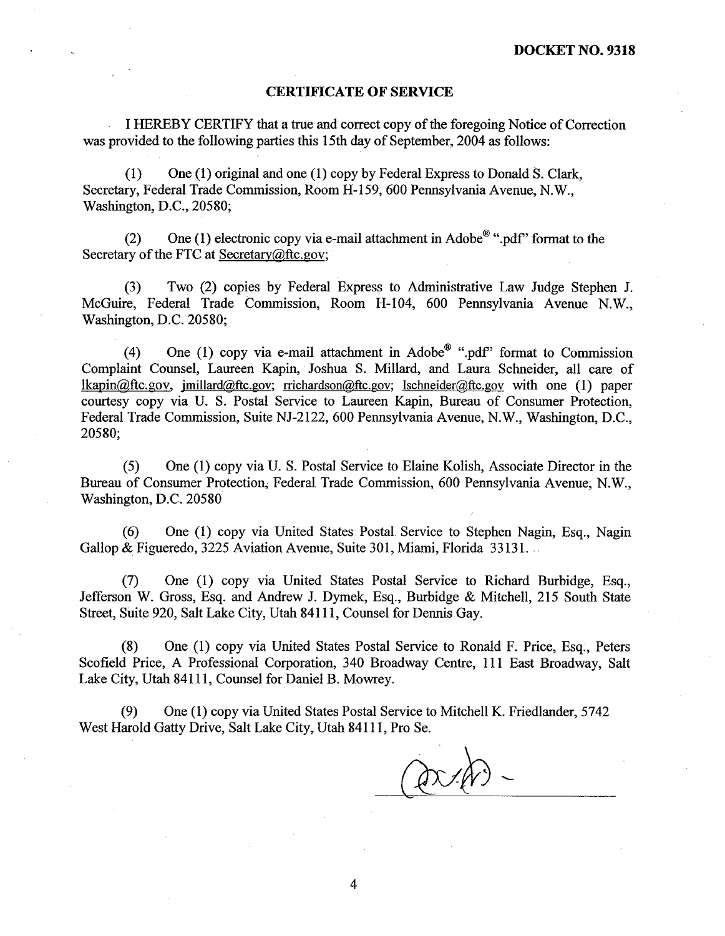#### CERTIFICATE OF SERVICE

I HEREBY CERTIFY that a true and correct copy of the foregoing Notice of Correction was provided to the following paries this 15th day of September, 2004 as follows:

(1) One (1) original and one (1) copy by Federal Express to Donald S. Clark Secretary, Federal Trade Commission, Room H-159, 600 Pennsylvania Avenue, N.W., Washington, D.C., 20580;

(2) One (1) electronic copy via e-mail attachment in Adobe<sup>®</sup> " pdf" format to the Secretary of the FTC at Secretary $@$ ftc.gov;

(3) Two (2) copies by Federal Express to Administrative Law Judge Stephen J. McGuire, Federal Trade Commission, Room H-104, 600 Pennsylvania Avenue N.W., Washington, D.C. 20580;

(4) One (1) copy via e-mail attachment in Adobe<sup>®</sup> ".pdf" format to Commission Complaint Counsel, Laureen Kapin, Joshua S. Milard, and Laura Schneider, all care of  $Ikapin@ftc.gov$ , imillard@ftc.gov; rrichardson@ftc.gov; lschneider@ftc.gov with one (1) paper courtesy copy via U. S. Postal Service to Laureen Kapin, Bureau of Consumer Protection, Federal Trade Commission, Suite NJ-2122, 600 Pennsylvania Avenue, N.W., Washington, D.C., 20580;

(5) One (1) copy via U. S. Postal Service to Elaine Kolish, Associate Director in the Bureau of Consumer Protection; Federal Trade Commission, 600 Pennsylvania Avenue, N. Washington, D.C. 20580

(6) One (1) copy via United States Postal. Service to Stephen Nagin, Esq. , Nagin Gallop & Figueredo, 3225 Aviation Avenue, Suite 301, Miami, Florida 33131.

(7) One (1) copy via United States Postal Service to Richard Burbidge, Esq. Jefferson W. Gross, Esq. and Andrew J. Dymek, Esq., Burbidge & Mitchell, 215 South State Street, Suite 920, Salt Lake City, Utah 84111 , Counsel for Denns Gay.

(8) One (1) copy via United States Postal Service to Ronald F. Price, Esq. , Peters Scofield Price, A Professional Corporation, 340 Broadway Centre, 111 East Broadway, Salt Lake City, Utah 84111 , Counsel for Daniel B. Mowrey.

(9) One (1) copy via United States Postal Service to Mitchell K. Friedlander, 5742 West Harold Gatty Drive, Salt Lake City, Utah 84111, Pro Se.

 $\overline{4}$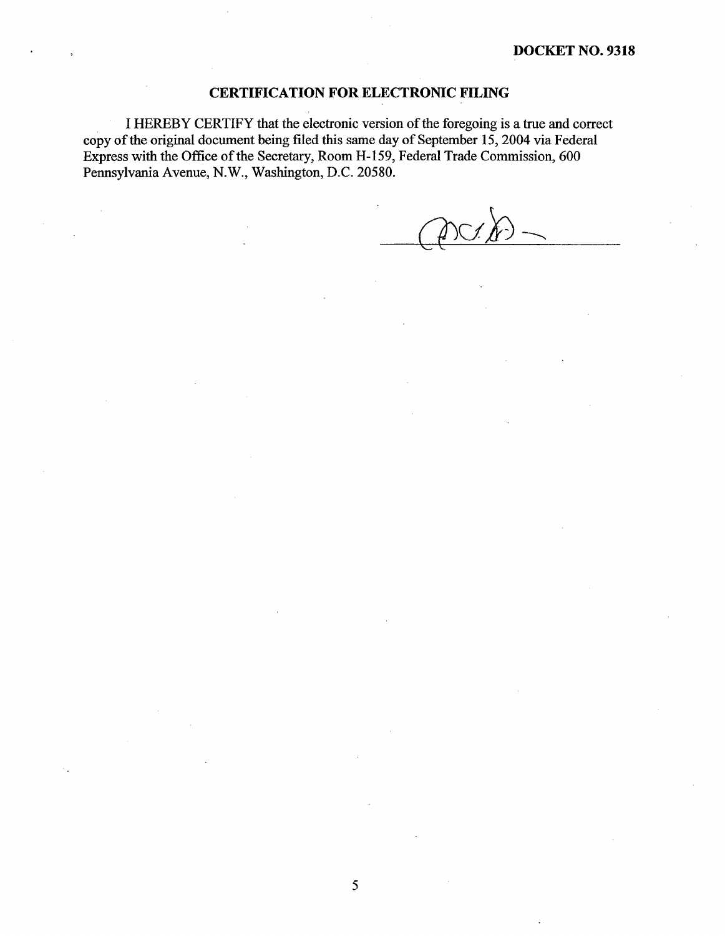#### CERTIFICATION FOR ELECTRONIC FILING

I HEREBY CERTIFY that the electronic version of the foregoing is a true and correct copy of the original document being filed this same day of September 15, 2004 via Federal Express with the Office of the Secretary, Room H-159, Federal Trade Commission, 600 Pennsylvania Avenue, N.W., Washington, D.C. 20580.

 $\checkmark$  $\mu$ )  $\rightarrow$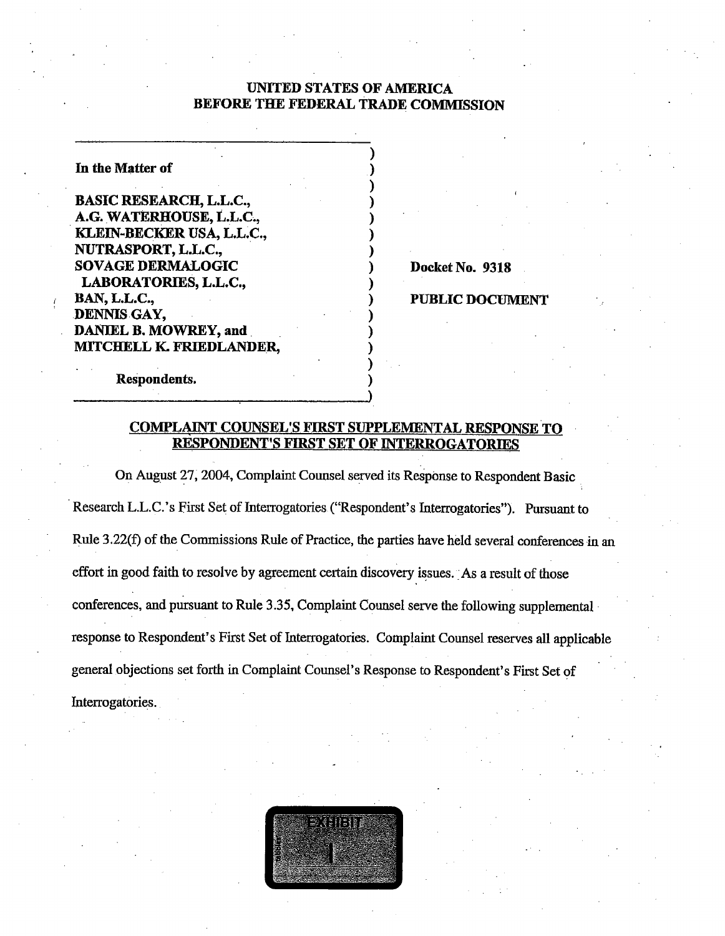## UNITED STATES OF AMRICA BEFORE THE FEDERAL TRADE COMMISSION

In the Matter of

**BASIC RESEARCH, L.L.C.,** A.G. WATERHOUSE, L.L.C., . KLEIN BECKER USA, L.L.C., NUTRASPORT, L. SOVAGE DERMALOGIC LABORATORIES, L.L.C., **BAN, L.L.C.,** DENNIS GAY, DANIEL B. MOWREY, and MITCHELL K. FRIEDLANDER,

Docket No. 9318

## **PUBLIC DOCUMENT**

Respondents.

## COMPLAINT COUNSEL'S FIRST SUPPLEMENTAL RESPONSE TO RESPONDENT'S FIRST SET OF INTERROGATORIES

On August 27, 2004, Complaint Counsel served its ReSponse to Respondent Basic . Research L.L.C.'s First Set of Interrogatories ("Respondent's Interrogatories"). Pursuant to Rule 3 .22(f) of the Commissions Rule of Practice, the parties have held several conferences in an effort in good faith to resolve by agreement certain discovery issues. As a result of those conferences, and pursuant to Rule 3.35, Complaint Counsel serve the following supplemental. response to Respondent's First Set of Interrogatories. Complaint Counsel reserves all applicable general objections set forth in Complaint Counsel's Response to Respondent's First Set of Interrogatories.

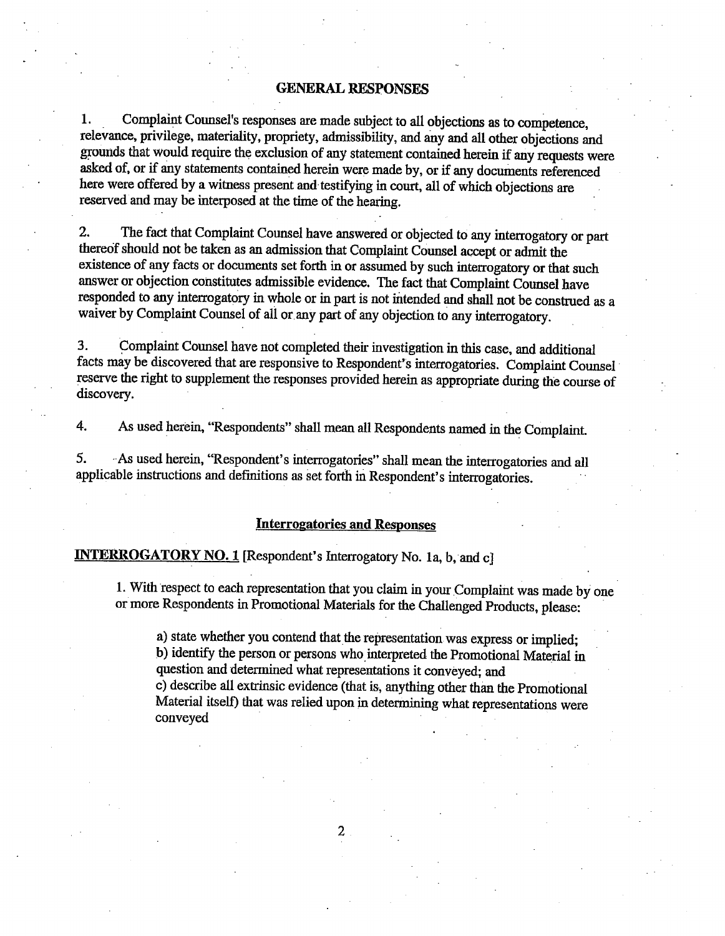#### **GENERAL RESPONSES**

1. Complaint Counsel's responses are made subject to all objections as to competence. relevance, privilege, materiality, propriety, admissibilty, and any and all other objections and grounds that would require the exclusion of any statement contained herein if any requests were asked of, or if any statements contained herein were made by, or if any documents referenced here were offered by a witness present and testifying in court, all of which objections are reserved and may be interposed at the time of the hearing.

2. The fact that Complaint Counsel have answered or objected to any interrogatory or part thereof should not be taken as an admission that Complaint Counsel accept or admit the existence of any facts or documents set forth in or assumed by such interrogatory or that such answer or objection constitutes admissible evidence. The fact that Complaint Counel have responded to any interrogatory in whole or in part is not intended and shall not be construed as a waiver by Complaint Counsel of all or any part of any objection to any interrogatory.

3. Complaint Counsel have not completed their investigation in this case, and additional facts may be discovered that are responsive to Respondent's interrogatories. Complaint Counsel reserve the right to supplement the responses provided herein as appropriate during the course of discovery.

4. As used herein, "Respondents" shall mean all Respondents named in the Complait.

5. As used herein, "Respondent's interrogatories" shall mean the interrogatories and all applicable instructions and definitions as set forth in Respondent's interrogatories.

#### Interrogatories and Responses

# INTERROGATORY NO. 1 [Respondent's Interrogatory No. 1a, b, and c]

1. With respect to each representation that you claim in your Complaint was made by one or more Respondents in Promotional Materials for the Challenged Products, please:

a) state whether you contend that the representation was express or implied; b) identify the person or persons who interpreted the Promotional Material in question and determined what representations it conveyed; and c) describe all extrinsic evidence (that is, anything other than the Promotional<br>Material itself) that was relied upon in determining what representations were<br>conveyed

2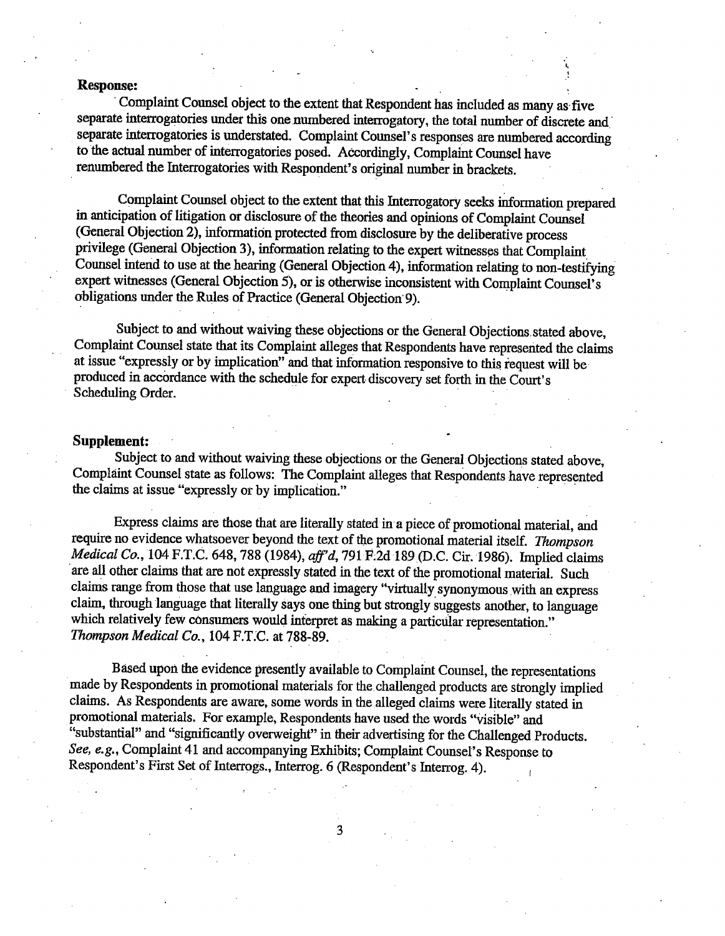Response:<br>Complaint Counsel object to the extent that Respondent has included as many as five separate interrogatories under this one numbered interrogatory, the total number of discrete and separate interrogatories is understated. Complaint Counsel's responses are numbered according to the actual number of interrogatories posed. Accordingly, Complaint Counsel have renumbered the Interrogatories with Respondent's original number in brackets.

Complaint Counsel object to the extent that this Interrogatory seeks information prepared in anticipation of litigation or disclosure of the theories and opinons of Complait Counel (General Objection 2), information protected from disclosure by the deliberative process privilege (General Objection 3), information relating to the expert witnesses that Complaint Counsel intend to use at the hearing (General Objection 4), information relating to non-testifying expert witnesses (General Objection 5), or is otherwise inconsistent with Complaint Counsel's obligations under the Rules of Practice (General Objection' 9).

Subject to and without waiving these objections or the General Objections stated above, Complait Counsel state that its Complaint alleges that Respondents have represerited the claims at issue "expressly or by implication" and that information responsive to this request will be produced in accordance with the schedule for expert discovery set forth in the Court's Scheduling Order.

Supplement:<br>Subject to and without waiving these objections or the General Objections stated above. Complaint Counsel state as follows: The Complaint alleges that Respondents have represented the claims at issue "expressly or by implication."

Express claims are those that are literally stated in a piece of promotional material, and require no evidence whatsoever beyond the text of the promotional material itself. Thompson Medical Co., 104 F.T.C. 648, 788 (1984), aff'd, 791 F.2d 189 (D.C. Cir. 1986). Implied claims are all other claims that are not expressly stated in the text of the promotional material. Such claims range from those that use language and imagery "virtually synonymous with an express claim, through language that literally says one thing but strongly suggests another, to language which relatively few consumers would interpret as making a particular representation."<br>Thompson Medical Co., 104 F.T.C. at 788-89. nims range from those that use language and imagery "virtually is<br>im, through language that literally says one thing but strongly is<br>aich relatively few consumers would interpret as making a partic<br>*ompson Medical Co.*, 10

Based upon the evidence presently available to Complaint Counsel, the representations made by Respondents in promotional materials for the challenged products are strongly implied claims. As Respondents are aware, some words in the alleged claims were literally stated in promotional materials. For example, Respondents have used the words "visible" and "substantial" and "significantly overweight" in their advertising for the Challenged Products. See, e.g., Complaint 41 and accompanying Exhibits; Complaint Counsel's Response to Respondent's First Set of Interrogs., Interrog. 6 (Respondent's Interrog. 4).

3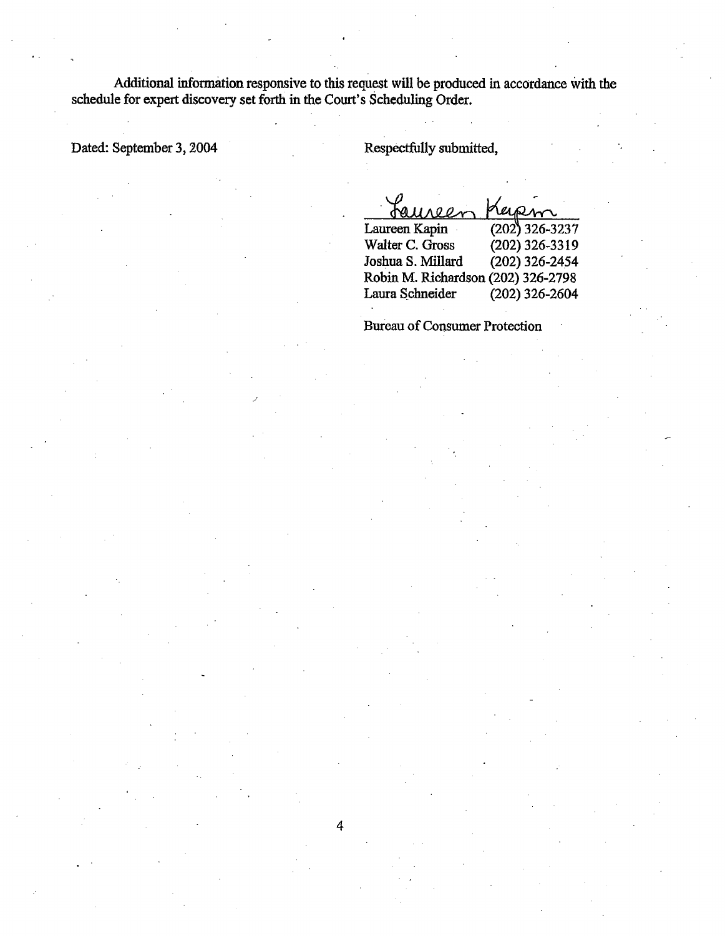Additional information responsive to this request will be produced in accordance with the schedule for expert discovery set forth in the Court's Scheduling Order.

 $\overline{4}$ 

Dated: September 3, 2004 Respectfully submitted,

Кa  $QQ$ 

Laureen Kapin . (202) 326-3237<br>Walter C. Gross . (202) 326-3319 Walter C. Gross (202) 326-3319<br>Joshua S. Millard (202) 326-2454 Joshua S. Millard Robin M. Richardson (202) 326-2798<br>Laura Schneider (202) 326-2604 Laura Schneider

**Bureau of Consumer Protection**